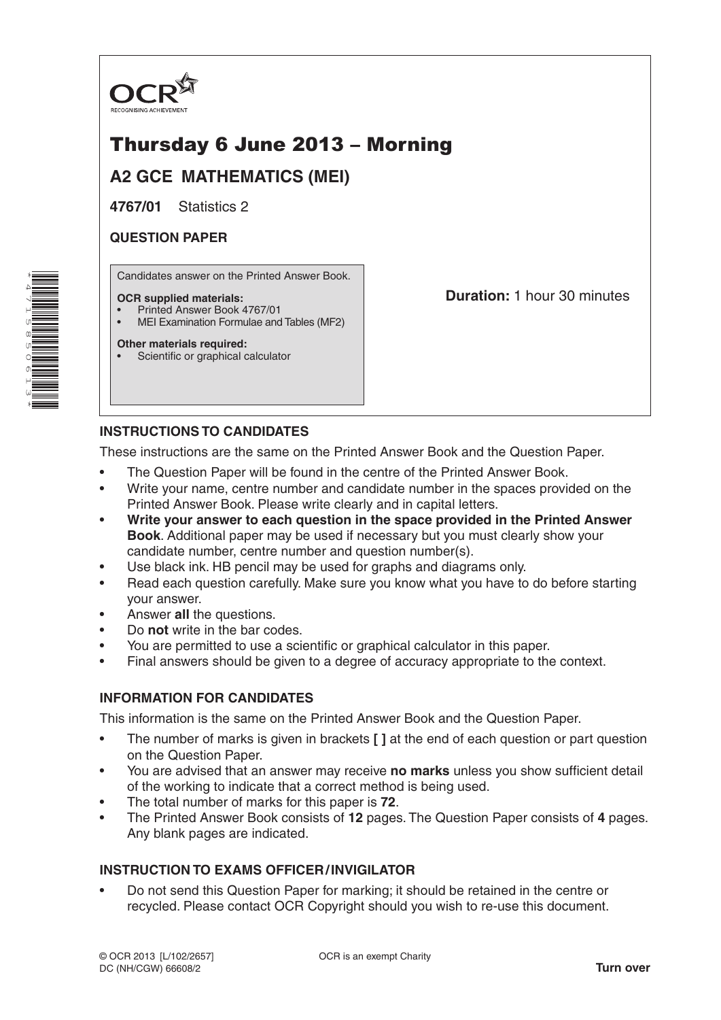

# Thursday 6 June 2013 – Morning

**A2 GCE MATHEMATICS (MEI)**

**4767/01** Statistics 2

# **QUESTION PAPER**

Candidates answer on the Printed Answer Book.

#### **OCR supplied materials:**

- Printed Answer Book 4767/01
- MEI Examination Formulae and Tables (MF2)

#### **Other materials required:**

Scientific or graphical calculator

**Duration:** 1 hour 30 minutes

# **INSTRUCTIONS TO CANDIDATES**

These instructions are the same on the Printed Answer Book and the Question Paper.

- The Question Paper will be found in the centre of the Printed Answer Book.
- Write your name, centre number and candidate number in the spaces provided on the Printed Answer Book. Please write clearly and in capital letters.
- **Write your answer to each question in the space provided in the Printed Answer Book**. Additional paper may be used if necessary but you must clearly show your candidate number, centre number and question number(s).
- Use black ink. HB pencil may be used for graphs and diagrams only.
- Read each question carefully. Make sure you know what you have to do before starting your answer.
- Answer **all** the questions.
- Do **not** write in the bar codes.
- You are permitted to use a scientific or graphical calculator in this paper.
- Final answers should be given to a degree of accuracy appropriate to the context.

### **INFORMATION FOR CANDIDATES**

This information is the same on the Printed Answer Book and the Question Paper.

- The number of marks is given in brackets **[ ]** at the end of each question or part question on the Question Paper.
- You are advised that an answer may receive **no marks** unless you show sufficient detail of the working to indicate that a correct method is being used.
- The total number of marks for this paper is **72**.
- The Printed Answer Book consists of **12** pages. The Question Paper consists of **4** pages. Any blank pages are indicated.

### **INSTRUCTION TO EXAMS OFFICER/INVIGILATOR**

• Do not send this Question Paper for marking; it should be retained in the centre or recycled. Please contact OCR Copyright should you wish to re-use this document.

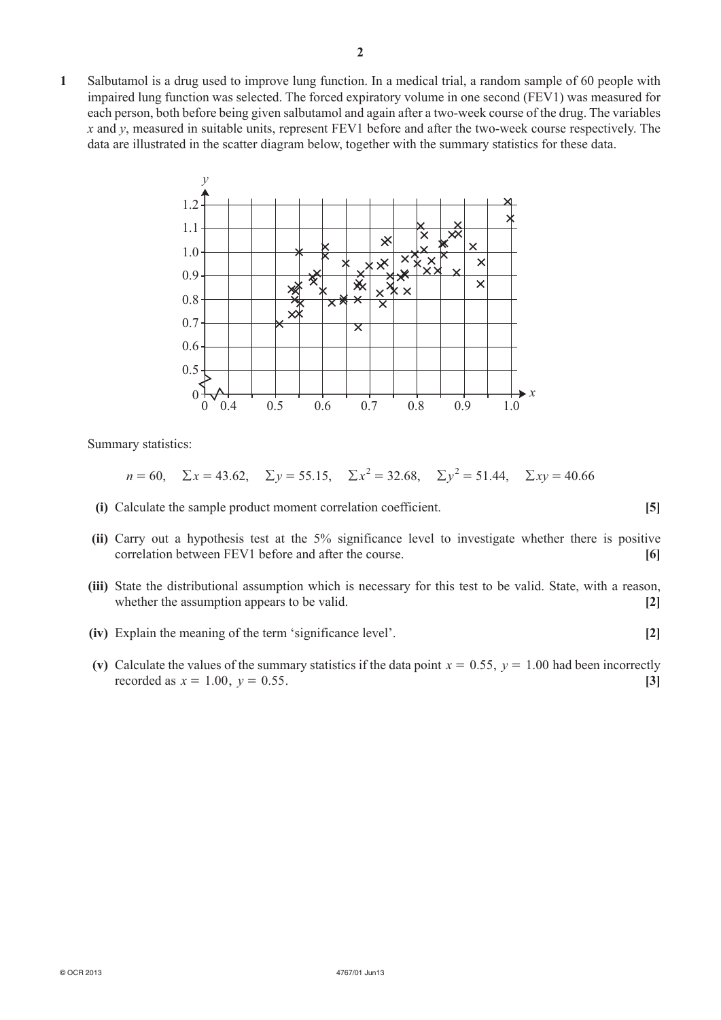**1**  Salbutamol is a drug used to improve lung function. In a medical trial, a random sample of 60 people with impaired lung function was selected. The forced expiratory volume in one second (FEV1) was measured for each person, both before being given salbutamol and again after a two-week course of the drug. The variables *x* and *y*, measured in suitable units, represent FEV1 before and after the two-week course respectively. The data are illustrated in the scatter diagram below, together with the summary statistics for these data.



Summary statistics:

$$
n = 60
$$
,  $\Sigma x = 43.62$ ,  $\Sigma y = 55.15$ ,  $\Sigma x^2 = 32.68$ ,  $\Sigma y^2 = 51.44$ ,  $\Sigma xy = 40.66$ 

- **(i)** Calculate the sample product moment correlation coefficient. **[5]**
- **(ii)** Carry out a hypothesis test at the 5% significance level to investigate whether there is positive correlation between FEV1 before and after the course. **[6]**
- **(iii)** State the distributional assumption which is necessary for this test to be valid. State, with a reason, whether the assumption appears to be valid. **[2] [2]**
- **(iv)** Explain the meaning of the term 'significance level'. **[2]**
- **(v)** Calculate the values of the summary statistics if the data point  $x = 0.55$ ,  $y = 1.00$  had been incorrectly recorded as  $x = 1.00$ ,  $y = 0.55$ . [3]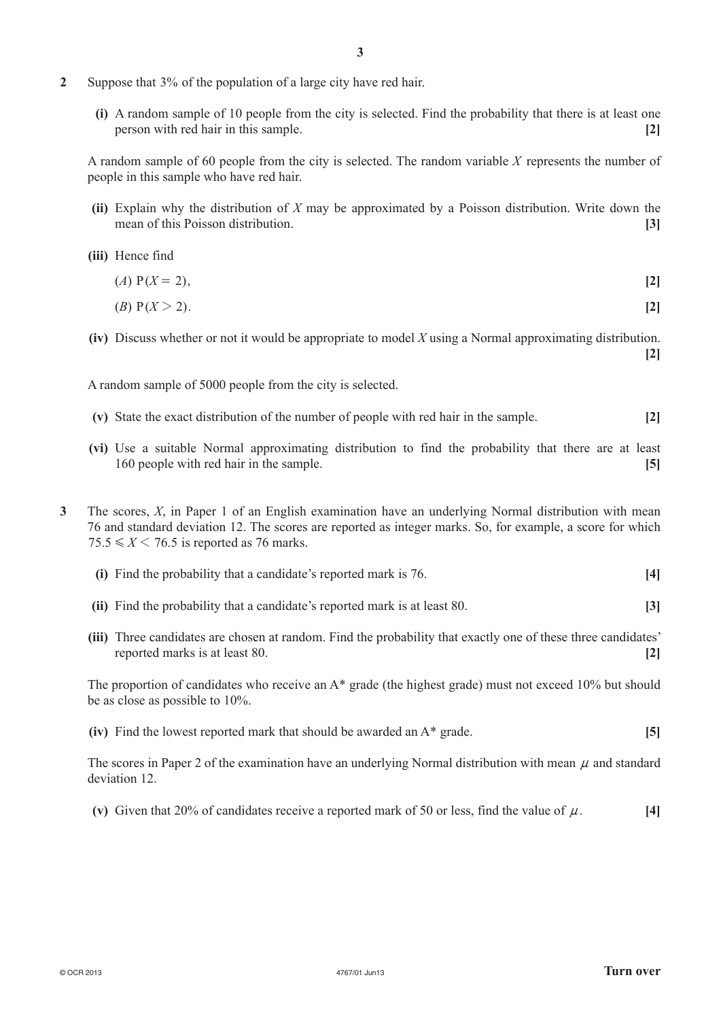- **2**  Suppose that 3% of the population of a large city have red hair.
	- **(i)** A random sample of 10 people from the city is selected. Find the probability that there is at least one person with red hair in this sample. **[2]**

A random sample of 60 people from the city is selected. The random variable *X* represents the number of people in this sample who have red hair.

- **(ii)** Explain why the distribution of *X* may be approximated by a Poisson distribution. Write down the mean of this Poisson distribution. **[3]**
- **(iii)**  Hence find
	- $(A)$  P( $X = 2$ ), **[2]**
	- $(B)$  P(*X* > 2).
- **(iv)** Discuss whether or not it would be appropriate to model *X* using a Normal approximating distribution. **[2]**

A random sample of 5000 people from the city is selected.

- **(v)**  State the exact distribution of the number of people with red hair in the sample. **[2]**
- **(vi)**  Use a suitable Normal approximating distribution to find the probability that there are at least 160 people with red hair in the sample. **[5]**
- **3**  The scores, *X*, in Paper 1 of an English examination have an underlying Normal distribution with mean 76 and standard deviation 12. The scores are reported as integer marks. So, for example, a score for which  $75.5 \le X \le 76.5$  is reported as 76 marks.
	- **(i)** Find the probability that a candidate's reported mark is 76. **[4]**
	- **(ii)** Find the probability that a candidate's reported mark is at least 80. **[3]**
	- **(iii)** Three candidates are chosen at random. Find the probability that exactly one of these three candidates' reported marks is at least 80. **[2]**

The proportion of candidates who receive an A\* grade (the highest grade) must not exceed 10% but should be as close as possible to 10%.

**(iv)** Find the lowest reported mark that should be awarded an A\* grade. **[5]** 

The scores in Paper 2 of the examination have an underlying Normal distribution with mean  $\mu$  and standard deviation 12.

**(v)** Given that 20% of candidates receive a reported mark of 50 or less, find the value of  $\mu$ . [4]